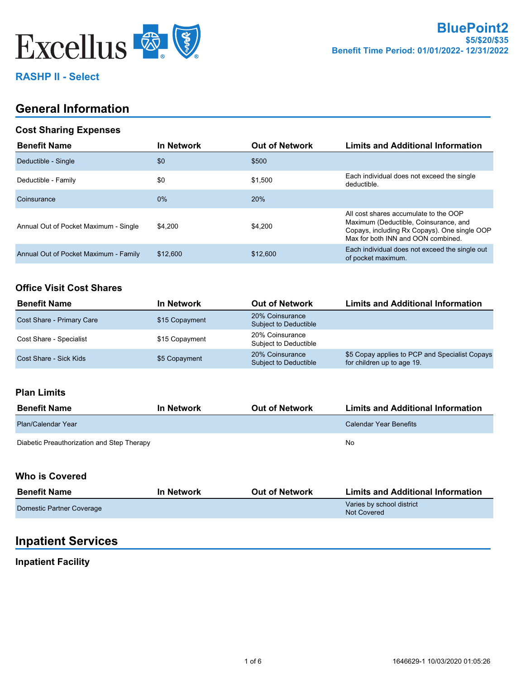

## **RASHP II - Select**

## **General Information**

#### **Cost Sharing Expenses**

| <b>Benefit Name</b>                   | <b>In Network</b> | <b>Out of Network</b> | <b>Limits and Additional Information</b>                                                                                                                             |
|---------------------------------------|-------------------|-----------------------|----------------------------------------------------------------------------------------------------------------------------------------------------------------------|
| Deductible - Single                   | \$0               | \$500                 |                                                                                                                                                                      |
| Deductible - Family                   | \$0               | \$1.500               | Each individual does not exceed the single<br>deductible.                                                                                                            |
| Coinsurance                           | $0\%$             | 20%                   |                                                                                                                                                                      |
| Annual Out of Pocket Maximum - Single | \$4.200           | \$4.200               | All cost shares accumulate to the OOP<br>Maximum (Deductible, Coinsurance, and<br>Copays, including Rx Copays). One single OOP<br>Max for both INN and OON combined. |
| Annual Out of Pocket Maximum - Family | \$12,600          | \$12,600              | Each individual does not exceed the single out<br>of pocket maximum.                                                                                                 |

#### **Office Visit Cost Shares**

| <b>Benefit Name</b>       | <b>In Network</b> | <b>Out of Network</b>                    | <b>Limits and Additional Information</b>                                     |
|---------------------------|-------------------|------------------------------------------|------------------------------------------------------------------------------|
| Cost Share - Primary Care | \$15 Copayment    | 20% Coinsurance<br>Subject to Deductible |                                                                              |
| Cost Share - Specialist   | \$15 Copayment    | 20% Coinsurance<br>Subject to Deductible |                                                                              |
| Cost Share - Sick Kids    | \$5 Copayment     | 20% Coinsurance<br>Subject to Deductible | \$5 Copay applies to PCP and Specialist Copays<br>for children up to age 19. |

#### **Plan Limits**

| <b>Benefit Name</b>                        | <b>In Network</b> | <b>Out of Network</b> | <b>Limits and Additional Information</b> |
|--------------------------------------------|-------------------|-----------------------|------------------------------------------|
| Plan/Calendar Year                         |                   |                       | Calendar Year Benefits                   |
| Diabetic Preauthorization and Step Therapy |                   |                       | No                                       |

#### **Who is Covered**

| <b>Benefit Name</b>       | <b>In Network</b> | <b>Out of Network</b> | <b>Limits and Additional Information</b> |
|---------------------------|-------------------|-----------------------|------------------------------------------|
| Domestic Partner Coverage |                   |                       | Varies by school district<br>Not Covered |

## **Inpatient Services**

## **Inpatient Facility**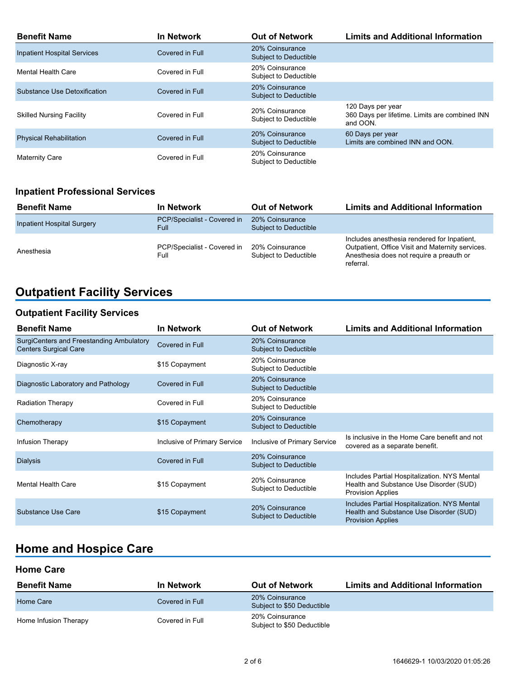| <b>Benefit Name</b>                | <b>In Network</b> | <b>Out of Network</b>                           | <b>Limits and Additional Information</b>                                        |
|------------------------------------|-------------------|-------------------------------------------------|---------------------------------------------------------------------------------|
| <b>Inpatient Hospital Services</b> | Covered in Full   | 20% Coinsurance<br>Subject to Deductible        |                                                                                 |
| Mental Health Care                 | Covered in Full   | 20% Coinsurance<br>Subject to Deductible        |                                                                                 |
| Substance Use Detoxification       | Covered in Full   | 20% Coinsurance<br><b>Subject to Deductible</b> |                                                                                 |
| <b>Skilled Nursing Facility</b>    | Covered in Full   | 20% Coinsurance<br>Subject to Deductible        | 120 Days per year<br>360 Days per lifetime. Limits are combined INN<br>and OON. |
| <b>Physical Rehabilitation</b>     | Covered in Full   | 20% Coinsurance<br>Subject to Deductible        | 60 Days per year<br>Limits are combined INN and OON.                            |
| <b>Maternity Care</b>              | Covered in Full   | 20% Coinsurance<br>Subject to Deductible        |                                                                                 |

## **Inpatient Professional Services**

| <b>Benefit Name</b>               | In Network                           | <b>Out of Network</b>                    | <b>Limits and Additional Information</b>                                                                                                                 |
|-----------------------------------|--------------------------------------|------------------------------------------|----------------------------------------------------------------------------------------------------------------------------------------------------------|
| <b>Inpatient Hospital Surgery</b> | PCP/Specialist - Covered in<br>Full. | 20% Coinsurance<br>Subject to Deductible |                                                                                                                                                          |
| Anesthesia                        | PCP/Specialist - Covered in<br>Full  | 20% Coinsurance<br>Subject to Deductible | Includes anesthesia rendered for Inpatient.<br>Outpatient, Office Visit and Maternity services.<br>Anesthesia does not require a preauth or<br>referral. |

# **Outpatient Facility Services**

## **Outpatient Facility Services**

| <b>Benefit Name</b>                                                      | <b>In Network</b>            | <b>Out of Network</b>                           | <b>Limits and Additional Information</b>                                                                            |
|--------------------------------------------------------------------------|------------------------------|-------------------------------------------------|---------------------------------------------------------------------------------------------------------------------|
| SurgiCenters and Freestanding Ambulatory<br><b>Centers Surgical Care</b> | Covered in Full              | 20% Coinsurance<br>Subject to Deductible        |                                                                                                                     |
| Diagnostic X-ray                                                         | \$15 Copayment               | 20% Coinsurance<br>Subject to Deductible        |                                                                                                                     |
| Diagnostic Laboratory and Pathology                                      | Covered in Full              | 20% Coinsurance<br>Subject to Deductible        |                                                                                                                     |
| <b>Radiation Therapy</b>                                                 | Covered in Full              | 20% Coinsurance<br>Subject to Deductible        |                                                                                                                     |
| Chemotherapy                                                             | \$15 Copayment               | 20% Coinsurance<br>Subject to Deductible        |                                                                                                                     |
| Infusion Therapy                                                         | Inclusive of Primary Service | Inclusive of Primary Service                    | Is inclusive in the Home Care benefit and not<br>covered as a separate benefit.                                     |
| <b>Dialysis</b>                                                          | Covered in Full              | 20% Coinsurance<br><b>Subject to Deductible</b> |                                                                                                                     |
| <b>Mental Health Care</b>                                                | \$15 Copayment               | 20% Coinsurance<br>Subject to Deductible        | Includes Partial Hospitalization. NYS Mental<br>Health and Substance Use Disorder (SUD)<br><b>Provision Applies</b> |
| Substance Use Care                                                       | \$15 Copayment               | 20% Coinsurance<br>Subject to Deductible        | Includes Partial Hospitalization. NYS Mental<br>Health and Substance Use Disorder (SUD)<br><b>Provision Applies</b> |

# **Home and Hospice Care**

#### **Home Care**

| <b>Benefit Name</b>   | <b>In Network</b> | <b>Out of Network</b>                         | <b>Limits and Additional Information</b> |
|-----------------------|-------------------|-----------------------------------------------|------------------------------------------|
| Home Care             | Covered in Full   | 20% Coinsurance<br>Subject to \$50 Deductible |                                          |
| Home Infusion Therapy | Covered in Full   | 20% Coinsurance<br>Subject to \$50 Deductible |                                          |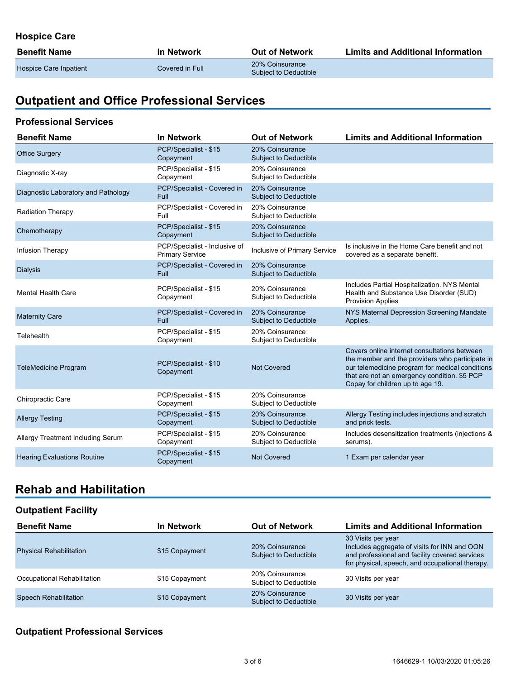## **Hospice Care**

| <b>Benefit Name</b>    | In Network       | <b>Out of Network</b>                    | <b>Limits and Additional Information</b> |
|------------------------|------------------|------------------------------------------|------------------------------------------|
| Hospice Care Inpatient | Covered in Full_ | 20% Coinsurance<br>Subject to Deductible |                                          |

# **Outpatient and Office Professional Services**

#### **Professional Services**

| <b>Benefit Name</b>                 | <b>In Network</b>                                       | <b>Out of Network</b>                           | <b>Limits and Additional Information</b>                                                                                                                                                                                               |
|-------------------------------------|---------------------------------------------------------|-------------------------------------------------|----------------------------------------------------------------------------------------------------------------------------------------------------------------------------------------------------------------------------------------|
| <b>Office Surgery</b>               | PCP/Specialist - \$15<br>Copayment                      | 20% Coinsurance<br>Subject to Deductible        |                                                                                                                                                                                                                                        |
| Diagnostic X-ray                    | PCP/Specialist - \$15<br>Copayment                      | 20% Coinsurance<br>Subject to Deductible        |                                                                                                                                                                                                                                        |
| Diagnostic Laboratory and Pathology | PCP/Specialist - Covered in<br>Full                     | 20% Coinsurance<br><b>Subject to Deductible</b> |                                                                                                                                                                                                                                        |
| <b>Radiation Therapy</b>            | PCP/Specialist - Covered in<br>Full                     | 20% Coinsurance<br><b>Subject to Deductible</b> |                                                                                                                                                                                                                                        |
| Chemotherapy                        | PCP/Specialist - \$15<br>Copayment                      | 20% Coinsurance<br>Subject to Deductible        |                                                                                                                                                                                                                                        |
| Infusion Therapy                    | PCP/Specialist - Inclusive of<br><b>Primary Service</b> | Inclusive of Primary Service                    | Is inclusive in the Home Care benefit and not<br>covered as a separate benefit.                                                                                                                                                        |
| <b>Dialysis</b>                     | PCP/Specialist - Covered in<br>Full                     | 20% Coinsurance<br>Subject to Deductible        |                                                                                                                                                                                                                                        |
| <b>Mental Health Care</b>           | PCP/Specialist - \$15<br>Copayment                      | 20% Coinsurance<br>Subject to Deductible        | Includes Partial Hospitalization. NYS Mental<br>Health and Substance Use Disorder (SUD)<br><b>Provision Applies</b>                                                                                                                    |
| <b>Maternity Care</b>               | PCP/Specialist - Covered in<br>Full                     | 20% Coinsurance<br><b>Subject to Deductible</b> | NYS Maternal Depression Screening Mandate<br>Applies.                                                                                                                                                                                  |
| Telehealth                          | PCP/Specialist - \$15<br>Copayment                      | 20% Coinsurance<br>Subject to Deductible        |                                                                                                                                                                                                                                        |
| <b>TeleMedicine Program</b>         | PCP/Specialist - \$10<br>Copayment                      | Not Covered                                     | Covers online internet consultations between<br>the member and the providers who participate in<br>our telemedicine program for medical conditions<br>that are not an emergency condition. \$5 PCP<br>Copay for children up to age 19. |
| Chiropractic Care                   | PCP/Specialist - \$15<br>Copayment                      | 20% Coinsurance<br>Subject to Deductible        |                                                                                                                                                                                                                                        |
| <b>Allergy Testing</b>              | PCP/Specialist - \$15<br>Copayment                      | 20% Coinsurance<br>Subject to Deductible        | Allergy Testing includes injections and scratch<br>and prick tests.                                                                                                                                                                    |
| Allergy Treatment Including Serum   | PCP/Specialist - \$15<br>Copayment                      | 20% Coinsurance<br>Subject to Deductible        | Includes desensitization treatments (injections &<br>serums).                                                                                                                                                                          |
| <b>Hearing Evaluations Routine</b>  | PCP/Specialist - \$15<br>Copayment                      | <b>Not Covered</b>                              | 1 Exam per calendar year                                                                                                                                                                                                               |

## **Rehab and Habilitation**

### **Outpatient Facility**

| <b>Benefit Name</b>            | <b>In Network</b> | <b>Out of Network</b>                    | <b>Limits and Additional Information</b>                                                                                                                                |
|--------------------------------|-------------------|------------------------------------------|-------------------------------------------------------------------------------------------------------------------------------------------------------------------------|
| <b>Physical Rehabilitation</b> | \$15 Copayment    | 20% Coinsurance<br>Subject to Deductible | 30 Visits per year<br>Includes aggregate of visits for INN and OON<br>and professional and facility covered services<br>for physical, speech, and occupational therapy. |
| Occupational Rehabilitation    | \$15 Copayment    | 20% Coinsurance<br>Subject to Deductible | 30 Visits per year                                                                                                                                                      |
| <b>Speech Rehabilitation</b>   | \$15 Copayment    | 20% Coinsurance<br>Subject to Deductible | 30 Visits per year                                                                                                                                                      |

#### **Outpatient Professional Services**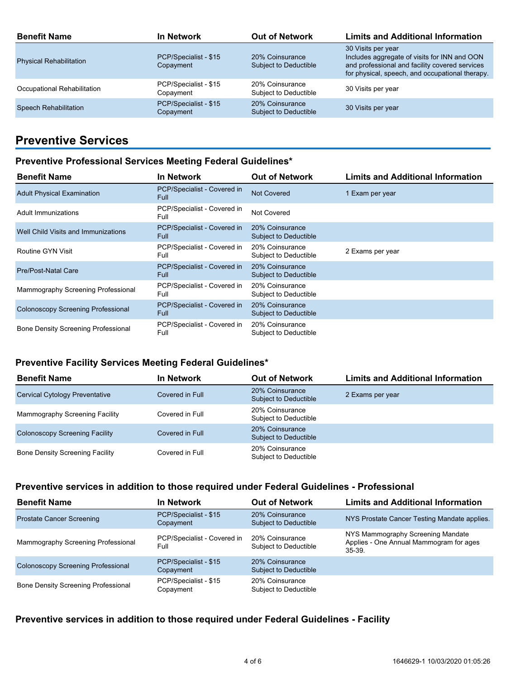| <b>Benefit Name</b>            | <b>In Network</b>                  | <b>Out of Network</b>                           | <b>Limits and Additional Information</b>                                                                                                                                |
|--------------------------------|------------------------------------|-------------------------------------------------|-------------------------------------------------------------------------------------------------------------------------------------------------------------------------|
| <b>Physical Rehabilitation</b> | PCP/Specialist - \$15<br>Copayment | 20% Coinsurance<br>Subject to Deductible        | 30 Visits per year<br>Includes aggregate of visits for INN and OON<br>and professional and facility covered services<br>for physical, speech, and occupational therapy. |
| Occupational Rehabilitation    | PCP/Specialist - \$15<br>Copayment | 20% Coinsurance<br>Subject to Deductible        | 30 Visits per year                                                                                                                                                      |
| <b>Speech Rehabilitation</b>   | PCP/Specialist - \$15<br>Copayment | 20% Coinsurance<br><b>Subject to Deductible</b> | 30 Visits per year                                                                                                                                                      |

# **Preventive Services**

#### **Preventive Professional Services Meeting Federal Guidelines\***

| <b>Benefit Name</b>                        | <b>In Network</b>                          | <b>Out of Network</b>                    | <b>Limits and Additional Information</b> |
|--------------------------------------------|--------------------------------------------|------------------------------------------|------------------------------------------|
| <b>Adult Physical Examination</b>          | PCP/Specialist - Covered in<br><b>Full</b> | <b>Not Covered</b>                       | 1 Exam per year                          |
| Adult Immunizations                        | PCP/Specialist - Covered in<br>Full        | Not Covered                              |                                          |
| Well Child Visits and Immunizations        | PCP/Specialist - Covered in<br><b>Full</b> | 20% Coinsurance<br>Subject to Deductible |                                          |
| Routine GYN Visit                          | PCP/Specialist - Covered in<br>Full        | 20% Coinsurance<br>Subject to Deductible | 2 Exams per year                         |
| <b>Pre/Post-Natal Care</b>                 | PCP/Specialist - Covered in<br><b>Full</b> | 20% Coinsurance<br>Subject to Deductible |                                          |
| Mammography Screening Professional         | PCP/Specialist - Covered in<br>Full        | 20% Coinsurance<br>Subject to Deductible |                                          |
| <b>Colonoscopy Screening Professional</b>  | PCP/Specialist - Covered in<br><b>Full</b> | 20% Coinsurance<br>Subject to Deductible |                                          |
| <b>Bone Density Screening Professional</b> | PCP/Specialist - Covered in<br>Full        | 20% Coinsurance<br>Subject to Deductible |                                          |

#### **Preventive Facility Services Meeting Federal Guidelines\***

| <b>Benefit Name</b>                    | <b>In Network</b> | <b>Out of Network</b>                           | <b>Limits and Additional Information</b> |
|----------------------------------------|-------------------|-------------------------------------------------|------------------------------------------|
| <b>Cervical Cytology Preventative</b>  | Covered in Full   | 20% Coinsurance<br><b>Subject to Deductible</b> | 2 Exams per year                         |
| Mammography Screening Facility         | Covered in Full   | 20% Coinsurance<br>Subject to Deductible        |                                          |
| <b>Colonoscopy Screening Facility</b>  | Covered in Full   | 20% Coinsurance<br>Subject to Deductible        |                                          |
| <b>Bone Density Screening Facility</b> | Covered in Full   | 20% Coinsurance<br>Subject to Deductible        |                                          |

#### **Preventive services in addition to those required under Federal Guidelines - Professional**

| <b>Benefit Name</b>                        | <b>In Network</b>                   | <b>Out of Network</b>                    | <b>Limits and Additional Information</b>                                                 |
|--------------------------------------------|-------------------------------------|------------------------------------------|------------------------------------------------------------------------------------------|
| <b>Prostate Cancer Screening</b>           | PCP/Specialist - \$15<br>Copayment  | 20% Coinsurance<br>Subject to Deductible | NYS Prostate Cancer Testing Mandate applies.                                             |
| Mammography Screening Professional         | PCP/Specialist - Covered in<br>Full | 20% Coinsurance<br>Subject to Deductible | NYS Mammography Screening Mandate<br>Applies - One Annual Mammogram for ages<br>$35-39.$ |
| <b>Colonoscopy Screening Professional</b>  | PCP/Specialist - \$15<br>Copayment  | 20% Coinsurance<br>Subject to Deductible |                                                                                          |
| <b>Bone Density Screening Professional</b> | PCP/Specialist - \$15<br>Copayment  | 20% Coinsurance<br>Subject to Deductible |                                                                                          |

## **Preventive services in addition to those required under Federal Guidelines - Facility**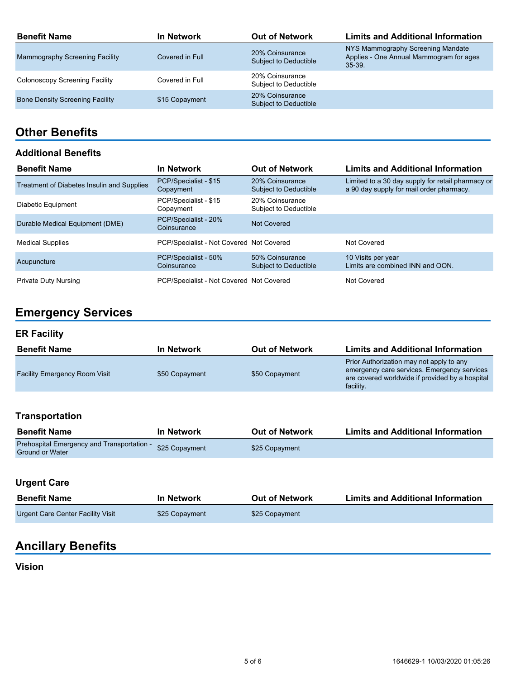| <b>Benefit Name</b>                    | <b>In Network</b> | <b>Out of Network</b>                    | <b>Limits and Additional Information</b>                                                 |
|----------------------------------------|-------------------|------------------------------------------|------------------------------------------------------------------------------------------|
| Mammography Screening Facility         | Covered in Full   | 20% Coinsurance<br>Subject to Deductible | NYS Mammography Screening Mandate<br>Applies - One Annual Mammogram for ages<br>$35-39.$ |
| Colonoscopy Screening Facility         | Covered in Full   | 20% Coinsurance<br>Subject to Deductible |                                                                                          |
| <b>Bone Density Screening Facility</b> | \$15 Copayment    | 20% Coinsurance<br>Subject to Deductible |                                                                                          |

## **Other Benefits**

#### **Additional Benefits**

| <b>Benefit Name</b>                        | <b>In Network</b>                        | <b>Out of Network</b>                           | <b>Limits and Additional Information</b>                                                      |
|--------------------------------------------|------------------------------------------|-------------------------------------------------|-----------------------------------------------------------------------------------------------|
| Treatment of Diabetes Insulin and Supplies | PCP/Specialist - \$15<br>Copayment       | 20% Coinsurance<br>Subject to Deductible        | Limited to a 30 day supply for retail pharmacy or<br>a 90 day supply for mail order pharmacy. |
| Diabetic Equipment                         | PCP/Specialist - \$15<br>Copayment       | 20% Coinsurance<br>Subject to Deductible        |                                                                                               |
| Durable Medical Equipment (DME)            | PCP/Specialist - 20%<br>Coinsurance      | Not Covered                                     |                                                                                               |
| <b>Medical Supplies</b>                    | PCP/Specialist - Not Covered Not Covered |                                                 | Not Covered                                                                                   |
| Acupuncture                                | PCP/Specialist - 50%<br>Coinsurance      | 50% Coinsurance<br><b>Subject to Deductible</b> | 10 Visits per year<br>Limits are combined INN and OON.                                        |
| <b>Private Duty Nursing</b>                | PCP/Specialist - Not Covered Not Covered |                                                 | Not Covered                                                                                   |

# **Emergency Services**

### **ER Facility**

| <b>Benefit Name</b>                  | In Network     | <b>Out of Network</b> | <b>Limits and Additional Information</b>                                                                                                                |
|--------------------------------------|----------------|-----------------------|---------------------------------------------------------------------------------------------------------------------------------------------------------|
| <b>Facility Emergency Room Visit</b> | \$50 Copayment | \$50 Copayment        | Prior Authorization may not apply to any<br>emergency care services. Emergency services<br>are covered worldwide if provided by a hospital<br>facility. |

### **Transportation**

| <b>Benefit Name</b>                                                  | In Network     | <b>Out of Network</b> | <b>Limits and Additional Information</b> |
|----------------------------------------------------------------------|----------------|-----------------------|------------------------------------------|
| Prehospital Emergency and Transportation -<br><b>Ground or Water</b> | \$25 Copayment | \$25 Copayment        |                                          |

## **Urgent Care**

| <b>Benefit Name</b>               | In Network     | <b>Out of Network</b> | <b>Limits and Additional Information</b> |
|-----------------------------------|----------------|-----------------------|------------------------------------------|
| Urgent Care Center Facility Visit | \$25 Copayment | \$25 Copayment        |                                          |

# **Ancillary Benefits**

## **Vision**